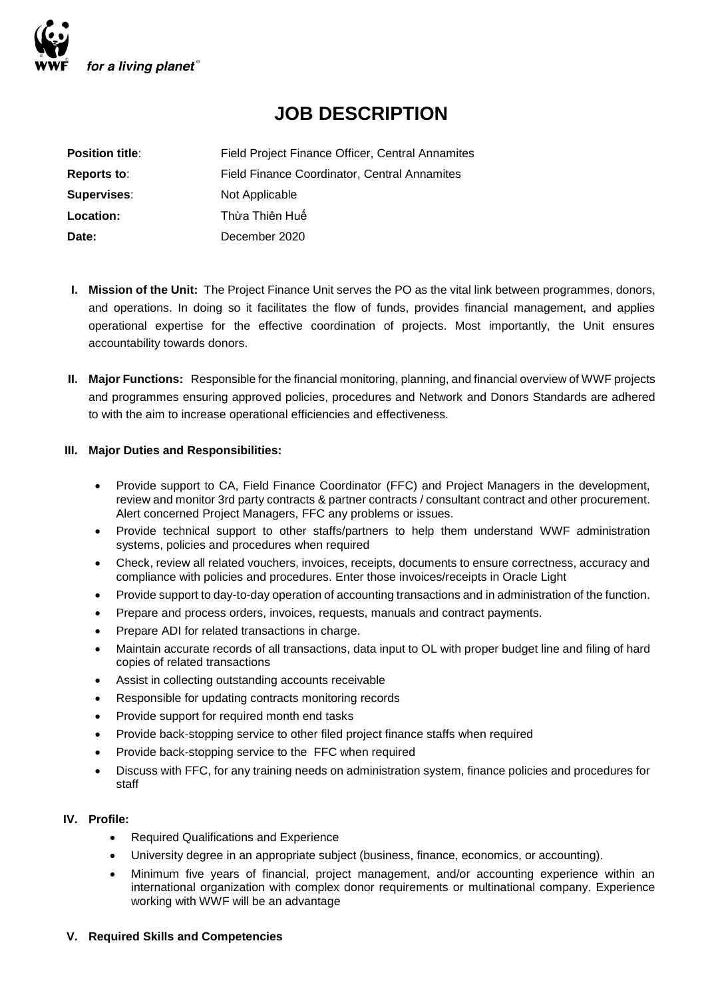

# **JOB DESCRIPTION**

| <b>Position title:</b> | Field Project Finance Officer, Central Annamites    |
|------------------------|-----------------------------------------------------|
| Reports to:            | <b>Field Finance Coordinator, Central Annamites</b> |
| <b>Supervises:</b>     | Not Applicable                                      |
| Location:              | Thừa Thiên Huế                                      |
| Date:                  | December 2020                                       |

- **I. Mission of the Unit:** The Project Finance Unit serves the PO as the vital link between programmes, donors, and operations. In doing so it facilitates the flow of funds, provides financial management, and applies operational expertise for the effective coordination of projects. Most importantly, the Unit ensures accountability towards donors.
- **II. Major Functions:** Responsible for the financial monitoring, planning, and financial overview of WWF projects and programmes ensuring approved policies, procedures and Network and Donors Standards are adhered to with the aim to increase operational efficiencies and effectiveness.

### **III. Major Duties and Responsibilities:**

- Provide support to CA, Field Finance Coordinator (FFC) and Project Managers in the development, review and monitor 3rd party contracts & partner contracts / consultant contract and other procurement. Alert concerned Project Managers, FFC any problems or issues.
- Provide technical support to other staffs/partners to help them understand WWF administration systems, policies and procedures when required
- Check, review all related vouchers, invoices, receipts, documents to ensure correctness, accuracy and compliance with policies and procedures. Enter those invoices/receipts in Oracle Light
- Provide support to day-to-day operation of accounting transactions and in administration of the function.
- Prepare and process orders, invoices, requests, manuals and contract payments.
- Prepare ADI for related transactions in charge.
- Maintain accurate records of all transactions, data input to OL with proper budget line and filing of hard copies of related transactions
- Assist in collecting outstanding accounts receivable
- Responsible for updating contracts monitoring records
- Provide support for required month end tasks
- Provide back-stopping service to other filed project finance staffs when required
- Provide back-stopping service to the FFC when required
- Discuss with FFC, for any training needs on administration system, finance policies and procedures for staff

### **IV. Profile:**

- Required Qualifications and Experience
- University degree in an appropriate subject (business, finance, economics, or accounting).
- Minimum five years of financial, project management, and/or accounting experience within an international organization with complex donor requirements or multinational company. Experience working with WWF will be an advantage

### **V. Required Skills and Competencies**